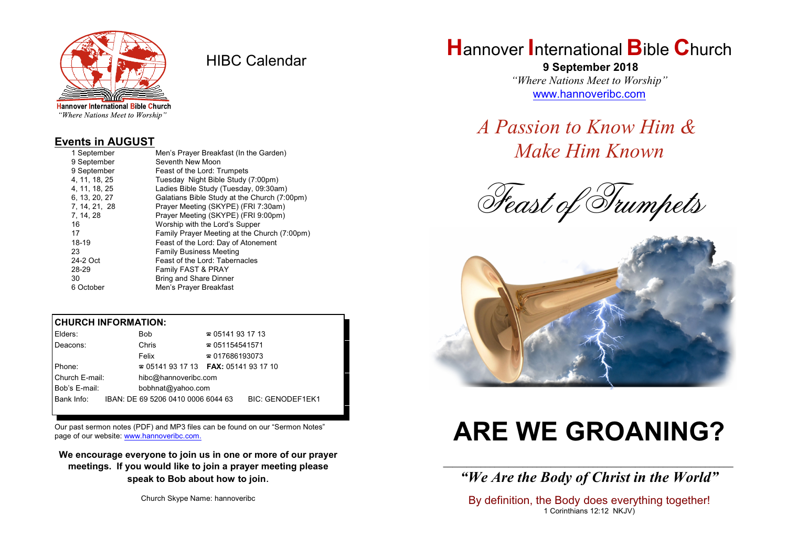

HIBC Calendar

"Where Nations Meet to Worship"

#### **Events in AUGUST**

| 1 September   | Men's Prayer Breakfast (In the Garden)       |
|---------------|----------------------------------------------|
| 9 September   | Seventh New Moon                             |
| 9 September   | Feast of the Lord: Trumpets                  |
| 4.11.18.25    | Tuesday Night Bible Study (7:00pm)           |
| 4.11.18.25    | Ladies Bible Study (Tuesday, 09:30am)        |
| 6, 13, 20, 27 | Galatians Bible Study at the Church (7:00pm) |
| 7, 14, 21, 28 | Prayer Meeting (SKYPE) (FRI 7:30am)          |
| 7, 14, 28     | Prayer Meeting (SKYPE) (FRI 9:00pm)          |
| 16            | Worship with the Lord's Supper               |
| 17            | Family Prayer Meeting at the Church (7:00pm) |
| 18-19         | Feast of the Lord: Day of Atonement          |
| 23            | <b>Family Business Meeting</b>               |
| 24-2 Oct      | Feast of the Lord: Tabernacles               |
| 28-29         | Family FAST & PRAY                           |
| 30            | <b>Bring and Share Dinner</b>                |
| 6 October     | Men's Prayer Breakfast                       |

### **CHURCH INFORMATION:**

| Elders:        | <b>Bob</b>                               | $\approx 05141931713$  |                         |  |
|----------------|------------------------------------------|------------------------|-------------------------|--|
| Deacons:       | Chris                                    | $\approx 051154541571$ |                         |  |
|                | Felix                                    | $\approx 017686193073$ |                         |  |
| Phone:         | $\approx 05141931713$ FAX: 0514193 17 10 |                        |                         |  |
| Church E-mail: | hibc@hannoveribc.com                     |                        |                         |  |
| Bob's E-mail:  | bobhnat@yahoo.com                        |                        |                         |  |
| Bank Info:     | IBAN: DE 69 5206 0410 0006 6044 63       |                        | <b>BIC: GENODEF1EK1</b> |  |

Our past sermon notes (PDF) and MP3 files can be found on our "Sermon Notes" page of our website: [www.hannoveribc.com.](http://www.hannoveribc.com.)

**We encourage everyone to join us in one or more of our prayer meetings. If you would like to join a prayer meeting please speak to Bob about how to join**.

Church Skype Name: hannoveribc

## **H**annover **I**nternational **B**ible **C**hurch

 **9 September 2018** *"Where Nations Meet to Worship"* [www.hannoveribc.com](http://www.hannoveribc.com)

*A Passion to Know Him & Make Him Known*

*Feast of Trumpets*



# **ARE WE GROANING?**

\_\_\_\_\_\_\_\_\_\_\_\_\_\_\_\_\_\_\_\_\_\_\_\_\_\_\_\_\_\_\_\_\_\_\_\_\_\_\_\_\_\_\_\_\_\_\_\_\_\_\_\_\_\_\_\_\_\_\_\_\_\_ *"We Are the Body of Christ in the World"*

By definition, the Body does everything together! 1 Corinthians 12:12 NKJV)